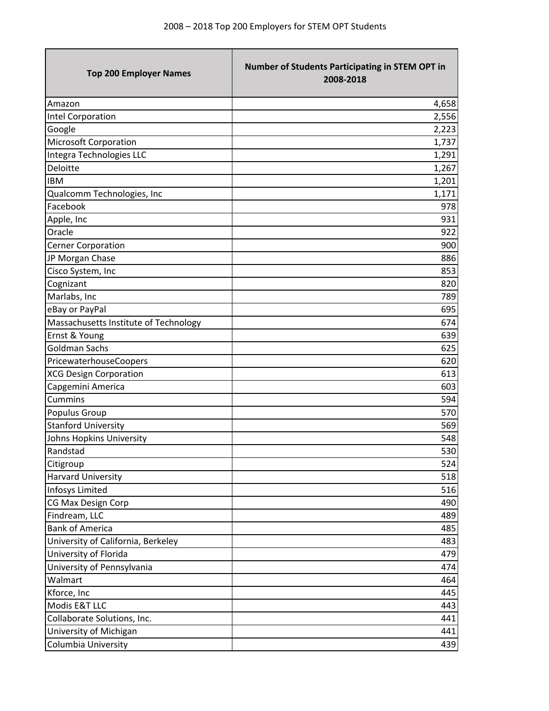\_\_\_\_\_\_\_

| <b>Top 200 Employer Names</b>         | Number of Students Participating in STEM OPT in<br>2008-2018 |
|---------------------------------------|--------------------------------------------------------------|
| Amazon                                | 4,658                                                        |
| Intel Corporation                     | 2,556                                                        |
| Google                                | 2,223                                                        |
| Microsoft Corporation                 | 1,737                                                        |
| Integra Technologies LLC              | 1,291                                                        |
| Deloitte                              | 1,267                                                        |
| <b>IBM</b>                            | 1,201                                                        |
| Qualcomm Technologies, Inc            | 1,171                                                        |
| Facebook                              | 978                                                          |
| Apple, Inc                            | 931                                                          |
| Oracle                                | 922                                                          |
| <b>Cerner Corporation</b>             | 900                                                          |
| JP Morgan Chase                       | 886                                                          |
| Cisco System, Inc                     | 853                                                          |
| Cognizant                             | 820                                                          |
| Marlabs, Inc                          | 789                                                          |
| eBay or PayPal                        | 695                                                          |
| Massachusetts Institute of Technology | 674                                                          |
| Ernst & Young                         | 639                                                          |
| <b>Goldman Sachs</b>                  | 625                                                          |
| PricewaterhouseCoopers                | 620                                                          |
| <b>XCG Design Corporation</b>         | 613                                                          |
| Capgemini America                     | 603                                                          |
| Cummins                               | 594                                                          |
| Populus Group                         | 570                                                          |
| <b>Stanford University</b>            | 569                                                          |
| Johns Hopkins University              | 548                                                          |
| Randstad                              | 530                                                          |
| Citigroup                             | 524                                                          |
| <b>Harvard University</b>             | 518                                                          |
| Infosys Limited                       | 516                                                          |
| CG Max Design Corp                    | 490                                                          |
| Findream, LLC                         | 489                                                          |
| <b>Bank of America</b>                | 485                                                          |
| University of California, Berkeley    | 483                                                          |
| University of Florida                 | 479                                                          |
| University of Pennsylvania            | 474                                                          |
| Walmart                               | 464                                                          |
| Kforce, Inc                           | 445                                                          |
| Modis E&T LLC                         | 443                                                          |
| Collaborate Solutions, Inc.           | 441                                                          |
| University of Michigan                | 441                                                          |
| Columbia University                   | 439                                                          |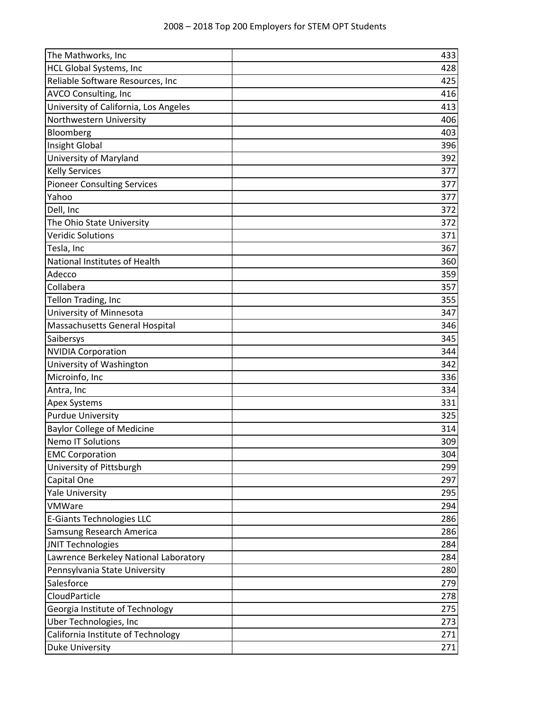| The Mathworks, Inc                    | 433 |
|---------------------------------------|-----|
| HCL Global Systems, Inc               | 428 |
| Reliable Software Resources, Inc      | 425 |
| AVCO Consulting, Inc                  | 416 |
| University of California, Los Angeles | 413 |
| Northwestern University               | 406 |
| Bloomberg                             | 403 |
| Insight Global                        | 396 |
| University of Maryland                | 392 |
| <b>Kelly Services</b>                 | 377 |
| <b>Pioneer Consulting Services</b>    | 377 |
| Yahoo                                 | 377 |
| Dell, Inc                             | 372 |
| The Ohio State University             | 372 |
| <b>Veridic Solutions</b>              | 371 |
| Tesla, Inc                            | 367 |
| National Institutes of Health         | 360 |
| Adecco                                | 359 |
| Collabera                             | 357 |
| Tellon Trading, Inc                   | 355 |
| University of Minnesota               | 347 |
| Massachusetts General Hospital        | 346 |
| Saibersys                             | 345 |
| <b>NVIDIA Corporation</b>             | 344 |
| University of Washington              | 342 |
| Microinfo, Inc                        | 336 |
| Antra, Inc                            | 334 |
| <b>Apex Systems</b>                   | 331 |
| <b>Purdue University</b>              | 325 |
| <b>Baylor College of Medicine</b>     | 314 |
| <b>Nemo IT Solutions</b>              | 309 |
| <b>EMC Corporation</b>                | 304 |
| University of Pittsburgh              | 299 |
| Capital One                           | 297 |
| <b>Yale University</b>                | 295 |
| VMWare                                | 294 |
| <b>E-Giants Technologies LLC</b>      | 286 |
| Samsung Research America              | 286 |
| JNIT Technologies                     | 284 |
| Lawrence Berkeley National Laboratory | 284 |
| Pennsylvania State University         | 280 |
| Salesforce                            | 279 |
| CloudParticle                         | 278 |
| Georgia Institute of Technology       | 275 |
| Uber Technologies, Inc                | 273 |
| California Institute of Technology    | 271 |
| Duke University                       | 271 |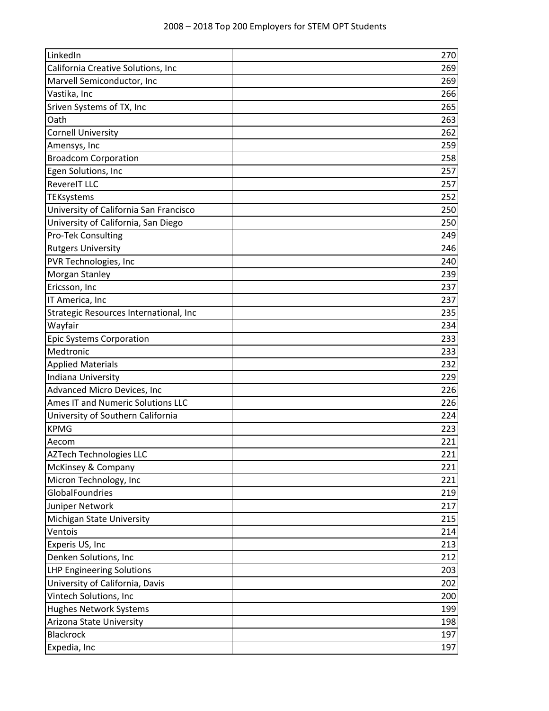| LinkedIn                               | 270 |
|----------------------------------------|-----|
| California Creative Solutions, Inc     | 269 |
| Marvell Semiconductor, Inc             | 269 |
| Vastika, Inc                           | 266 |
| Sriven Systems of TX, Inc              | 265 |
| Oath                                   | 263 |
| <b>Cornell University</b>              | 262 |
| Amensys, Inc                           | 259 |
| <b>Broadcom Corporation</b>            | 258 |
| Egen Solutions, Inc                    | 257 |
| <b>RevereIT LLC</b>                    | 257 |
| TEKsystems                             | 252 |
| University of California San Francisco | 250 |
| University of California, San Diego    | 250 |
| Pro-Tek Consulting                     | 249 |
| <b>Rutgers University</b>              | 246 |
| PVR Technologies, Inc                  | 240 |
| Morgan Stanley                         | 239 |
| Ericsson, Inc                          | 237 |
| IT America, Inc                        | 237 |
| Strategic Resources International, Inc | 235 |
| Wayfair                                | 234 |
| <b>Epic Systems Corporation</b>        | 233 |
| Medtronic                              | 233 |
| <b>Applied Materials</b>               | 232 |
| Indiana University                     | 229 |
| Advanced Micro Devices, Inc            | 226 |
| Ames IT and Numeric Solutions LLC      | 226 |
| University of Southern California      | 224 |
| <b>KPMG</b>                            | 223 |
| Aecom                                  | 221 |
| <b>AZTech Technologies LLC</b>         | 221 |
| McKinsey & Company                     | 221 |
| Micron Technology, Inc                 | 221 |
| GlobalFoundries                        | 219 |
| Juniper Network                        | 217 |
| Michigan State University              | 215 |
| Ventois                                | 214 |
| Experis US, Inc                        | 213 |
| Denken Solutions, Inc                  | 212 |
| <b>LHP Engineering Solutions</b>       | 203 |
| University of California, Davis        | 202 |
| Vintech Solutions, Inc                 | 200 |
| <b>Hughes Network Systems</b>          | 199 |
| Arizona State University               | 198 |
| <b>Blackrock</b>                       | 197 |
| Expedia, Inc                           | 197 |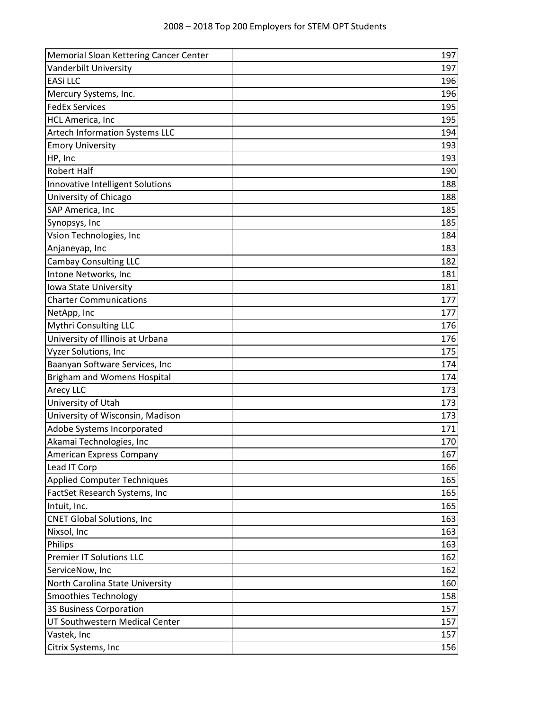| Memorial Sloan Kettering Cancer Center | 197 |
|----------------------------------------|-----|
| Vanderbilt University                  | 197 |
| <b>EASi LLC</b>                        | 196 |
| Mercury Systems, Inc.                  | 196 |
| <b>FedEx Services</b>                  | 195 |
| <b>HCL America, Inc</b>                | 195 |
| Artech Information Systems LLC         | 194 |
| <b>Emory University</b>                | 193 |
| HP, Inc                                | 193 |
| <b>Robert Half</b>                     | 190 |
| Innovative Intelligent Solutions       | 188 |
| University of Chicago                  | 188 |
| SAP America, Inc                       | 185 |
| Synopsys, Inc                          | 185 |
| Vsion Technologies, Inc                | 184 |
| Anjaneyap, Inc                         | 183 |
| <b>Cambay Consulting LLC</b>           | 182 |
| Intone Networks, Inc                   | 181 |
| Iowa State University                  | 181 |
| <b>Charter Communications</b>          | 177 |
| NetApp, Inc                            | 177 |
| <b>Mythri Consulting LLC</b>           | 176 |
| University of Illinois at Urbana       | 176 |
| Vyzer Solutions, Inc                   | 175 |
| Baanyan Software Services, Inc         | 174 |
| <b>Brigham and Womens Hospital</b>     | 174 |
| Arecy LLC                              | 173 |
| University of Utah                     | 173 |
| University of Wisconsin, Madison       | 173 |
| Adobe Systems Incorporated             | 171 |
| Akamai Technologies, Inc               | 170 |
| American Express Company               | 167 |
| Lead IT Corp                           | 166 |
| <b>Applied Computer Techniques</b>     | 165 |
| FactSet Research Systems, Inc          | 165 |
| Intuit, Inc.                           | 165 |
| <b>CNET Global Solutions, Inc</b>      | 163 |
| Nixsol, Inc                            | 163 |
| Philips                                | 163 |
| <b>Premier IT Solutions LLC</b>        | 162 |
| ServiceNow, Inc                        | 162 |
| North Carolina State University        | 160 |
| <b>Smoothies Technology</b>            | 158 |
| 3S Business Corporation                | 157 |
| UT Southwestern Medical Center         | 157 |
| Vastek, Inc                            | 157 |
| Citrix Systems, Inc                    | 156 |